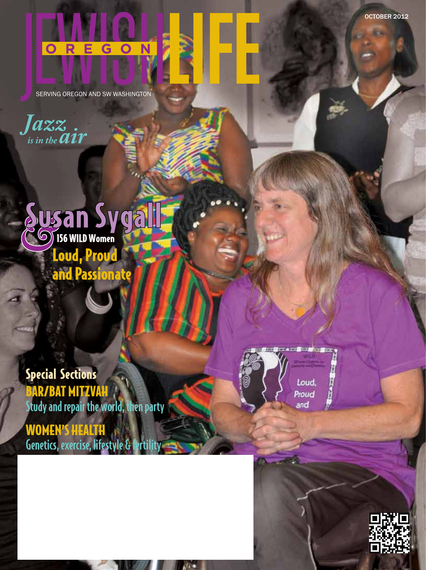## $\overline{\mathbf{C}}$ G **O**

SERVING OREGON AND SW WASHINGTON

*Jazz is in the*  $\overline{a}$ *ir* 



Special Sections BAR/BAT MITZVAH Study and repair the world, then party WOMEN'S HEALTH Genetics, exercise, lifestyle & ferti



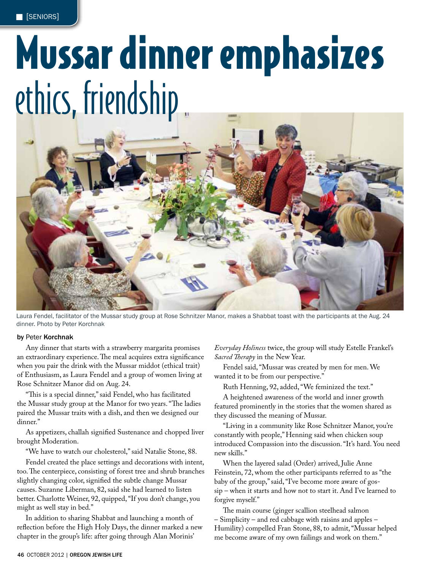# Mussar dinner emphasizes ethics, friendship



Laura Fendel, facilitator of the Mussar study group at Rose Schnitzer Manor, makes a Shabbat toast with the participants at the Aug. 24 dinner. Photo by Peter Korchnak

#### **by** Peter **Korchnak**

Any dinner that starts with a strawberry margarita promises an extraordinary experience. The meal acquires extra significance when you pair the drink with the Mussar middot (ethical trait) of Enthusiasm, as Laura Fendel and a group of women living at Rose Schnitzer Manor did on Aug. 24.

"This is a special dinner," said Fendel, who has facilitated the Mussar study group at the Manor for two years. "The ladies paired the Mussar traits with a dish, and then we designed our dinner."

As appetizers, challah signified Sustenance and chopped liver brought Moderation.

"We have to watch our cholesterol," said Natalie Stone, 88.

Fendel created the place settings and decorations with intent, too. The centerpiece, consisting of forest tree and shrub branches slightly changing color, signified the subtle change Mussar causes. Suzanne Liberman, 82, said she had learned to listen better. Charlotte Weiner, 92, quipped, "If you don't change, you might as well stay in bed."

In addition to sharing Shabbat and launching a month of reflection before the High Holy Days, the dinner marked a new chapter in the group's life: after going through Alan Morinis'

*Everyday Holiness* twice, the group will study Estelle Frankel's *Sacred !erapy* in the New Year.

Fendel said, "Mussar was created by men for men. We wanted it to be from our perspective."

Ruth Henning, 92, added, "We feminized the text."

A heightened awareness of the world and inner growth featured prominently in the stories that the women shared as they discussed the meaning of Mussar.

"Living in a community like Rose Schnitzer Manor, you're constantly with people," Henning said when chicken soup introduced Compassion into the discussion. "It's hard. You need new skills."

When the layered salad (Order) arrived, Julie Anne Feinstein, 72, whom the other participants referred to as "the baby of the group," said, "I've become more aware of gossip – when it starts and how not to start it. And I've learned to forgive myself."

The main course (ginger scallion steelhead salmon – Simplicity – and red cabbage with raisins and apples – Humility) compelled Fran Stone, 88, to admit, "Mussar helped me become aware of my own failings and work on them."